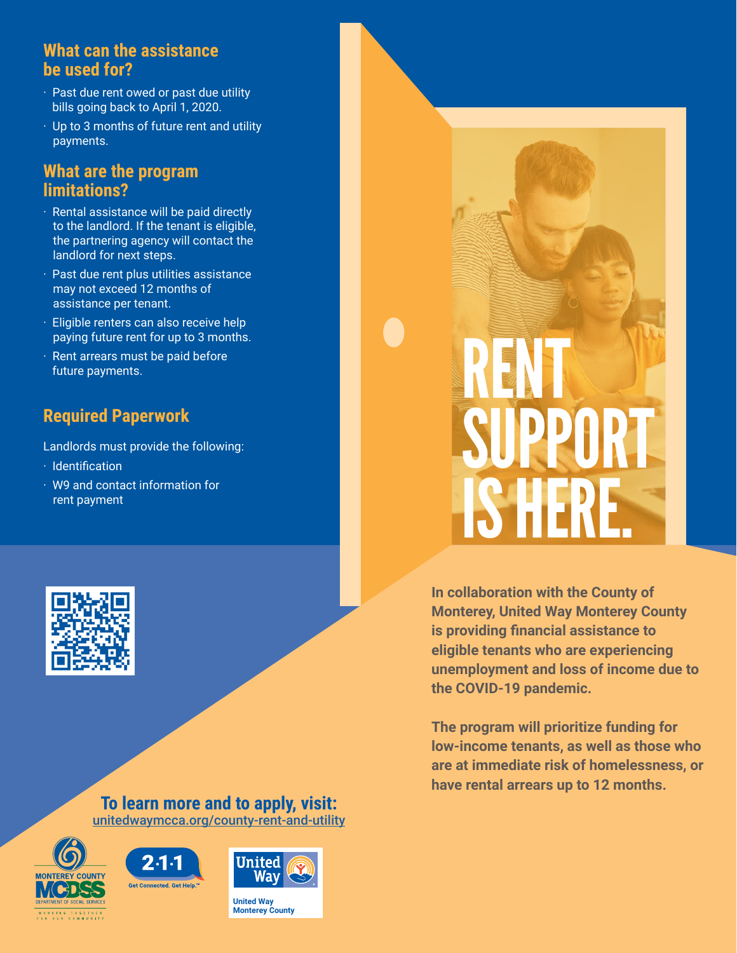### **What can the assistance be used for?**

- · Past due rent owed or past due utility bills going back to April 1, 2020.
- · Up to 3 months of future rent and utility payments.

### **What are the program limitations?**

- · Rental assistance will be paid directly to the landlord. If the tenant is eligible, the partnering agency will contact the landlord for next steps.
- · Past due rent plus utilities assistance may not exceed 12 months of assistance per tenant.
- · Eligible renters can also receive help paying future rent for up to 3 months.
- · Rent arrears must be paid before future payments.

# **Required Paperwork**

Landlords must provide the following:

- · Identification
- · W9 and contact information for rent payment



#### **To learn more and to apply, visit:** [unitedwaymcca.org/county-rent-and-utility](http://unitedwaymcca.org/county-rent-and-utility)







**United Way Monterey County**



**In collaboration with the County of Monterey, United Way Monterey County is providing financial assistance to eligible tenants who are experiencing unemployment and loss of income due to the COVID-19 pandemic.**

**The program will prioritize funding for low-income tenants, as well as those who are at immediate risk of homelessness, or have rental arrears up to 12 months.**